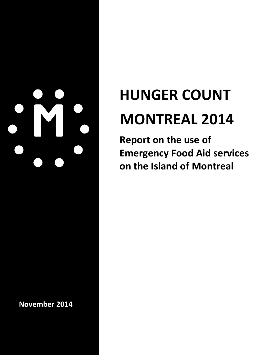**November 2014** 

# **HUNGER COUNT MONTREAL 2014**

**Report on the use of Emergency Food Aid services on the Island of Montreal**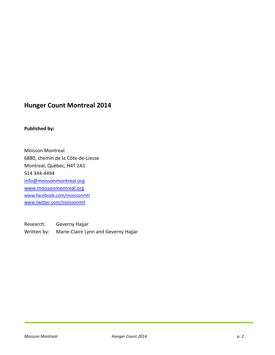# **Hunger Count Montreal 2014**

#### **Published by:**

Moisson Montreal 6880, chemin de la Côte-de-Liesse Montreal, Québec, H4T 2A1 514 344-4494 [info@moissonmontreal.org](mailto:info@moissonmontreal.org) [www.moissonmontreal.org](http://www.moissonmontreal.org/) [www.facebook.com/moissonmtl](http://www.facebook.com/moissonmtl) [www.twitter.com/moissonmtl](http://www.twitter.com/moissonmtl)

Research: Geverny Hajjar Written by: Marie-Claire Lynn and Geverny Hajjar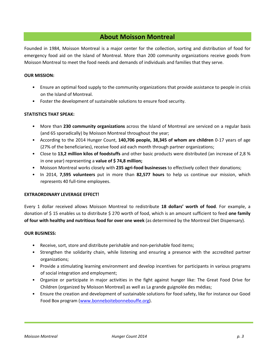## **About Moisson Montreal**

Founded in 1984, Moisson Montreal is a major center for the collection, sorting and distribution of food for emergency food aid on the Island of Montreal. More than 200 community organizations receive goods from Moisson Montreal to meet the food needs and demands of individuals and families that they serve.

#### **OUR MISSION:**

- Ensure an optimal food supply to the community organizations that provide assistance to people in crisis on the Island of Montreal.
- Foster the development of sustainable solutions to ensure food security.

#### **STATISTICS THAT SPEAK:**

- More than **230 community organizations** across the Island of Montreal are serviced on a regular basis (and 65 sporadically) by Moisson Montreal throughout the year;
- According to the 2014 Hunger Count, **140,706 people, 38,345 of whom are children** 0-17 years of age (27% of the beneficiaries), receive food aid each month through partner organizations;
- Close to **13,2 million kilos of foodstuffs** and other basic products were distributed (an increase of 2,8 % in one year) representing a **value of \$ 74,8 million;**
- Moisson Montreal works closely with **235 agri-food businesses** to effectively collect their donations;
- In 2014, **7,595 volunteers** put in more than **82,577 hours** to help us continue our mission, which represents 40 full-time employees.

#### **EXTRAORDINARY LEVERAGE EFFECT!**

Every 1 dollar received allows Moisson Montreal to redistribute **18 dollars' worth of food**. For example, a donation of \$ 15 enables us to distribute \$ 270 worth of food, which is an amount sufficient to feed **one family of four with healthy and nutritious food for over one week** (as determined by the Montreal Diet Dispensary).

#### **OUR BUSINESS:**

- Receive, sort, store and distribute perishable and non-perishable food items;
- Strengthen the solidarity chain, while listening and ensuring a presence with the accredited partner organizations;
- Provide a stimulating learning environment and develop incentives for participants in various programs of social integration and employment;
- Organize or participate in major activities in the fight against hunger like: The Great Food Drive for Children (organized by Moisson Montreal) as well as La grande guignolée des médias;
- Ensure the creation and development of sustainable solutions for food safety, like for instance our Good Food Box program [\(www.bonneboitebonnebouffe.org\)](http://www.bonneboitebonnebouffe.org/).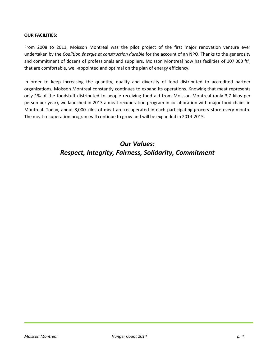#### **OUR FACILITIES:**

From 2008 to 2011, Moisson Montreal was the pilot project of the first major renovation venture ever undertaken by the *Coalition énergie et construction durable* for the account of an NPO. Thanks to the generosity and commitment of dozens of professionals and suppliers, Moisson Montreal now has facilities of 107 000 ft<sup>2</sup>, that are comfortable, well-appointed and optimal on the plan of energy efficiency.

In order to keep increasing the quantity, quality and diversity of food distributed to accredited partner organizations, Moisson Montreal constantly continues to expand its operations. Knowing that meat represents only 1% of the foodstuff distributed to people receiving food aid from Moisson Montreal (only 3,7 kilos per person per year), we launched in 2013 a meat recuperation program in collaboration with major food chains in Montreal. Today, about 8,000 kilos of meat are recuperated in each participating grocery store every month. The meat recuperation program will continue to grow and will be expanded in 2014-2015.

# *Our Values: Respect, Integrity, Fairness, Solidarity, Commitment*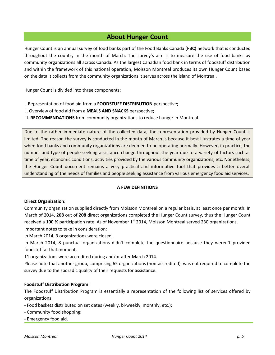# **About Hunger Count**

Hunger Count is an annual survey of food banks part of the Food Banks Canada (**FBC**) network that is conducted throughout the country in the month of March. The survey's aim is to measure the use of food banks by community organizations all across Canada. As the largest Canadian food bank in terms of foodstuff distribution and within the framework of this national operation, Moisson Montreal produces its own Hunger Count based on the data it collects from the community organizations it serves across the island of Montreal.

Hunger Count is divided into three components:

- I. Representation of food aid from a **FOODSTUFF DISTRIBUTION** perspective**;**
- II. Overview of food aid from a **MEALS AND SNACKS** perspective;
- III. **RECOMMENDATIONS** from community organizations to reduce hunger in Montreal.

Due to the rather immediate nature of the collected data, the representation provided by Hunger Count is limited. The reason the survey is conducted in the month of March is because it best illustrates a time of year when food banks and community organizations are deemed to be operating normally. However, in practice, the number and type of people seeking assistance change throughout the year due to a variety of factors such as time of year, economic conditions, activities provided by the various community organizations, etc. Nonetheless, the Hunger Count document remains a very practical and informative tool that provides a better overall understanding of the needs of families and people seeking assistance from various emergency food aid services.

#### **A FEW DEFINITIONS**

#### **Direct Organization**:

Community organization supplied directly from Moisson Montreal on a regular basis, at least once per month. In March of 2014, **208** out of **208** direct organizations completed the Hunger Count survey, thus the Hunger Count received a 100 % participation rate. As of November 1<sup>st</sup> 2014, Moisson Montreal served 230 organizations.

Important notes to take in consideration:

In March 2014, 3 organizations were closed.

In March 2014, 8 punctual organizations didn't complete the questionnaire because they weren't provided foodstuff at that moment.

11 organizations were accredited during and/or after March 2014.

Please note that another group, comprising 65 organizations (non-accredited), was not required to complete the survey due to the sporadic quality of their requests for assistance.

#### **Foodstuff Distribution Program:**

The Foodstuff Distribution Program is essentially a representation of the following list of services offered by organizations:

- Food baskets distributed on set dates (weekly, bi-weekly, monthly, etc.);
- Community food shopping;
- Emergency food aid.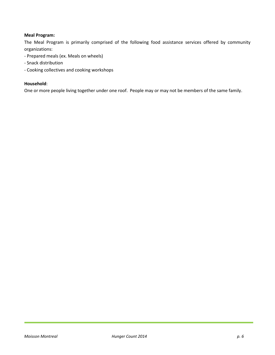#### **Meal Program:**

The Meal Program is primarily comprised of the following food assistance services offered by community organizations:

- Prepared meals (ex. Meals on wheels)
- Snack distribution
- Cooking collectives and cooking workshops

#### **Household**:

One or more people living together under one roof. People may or may not be members of the same family.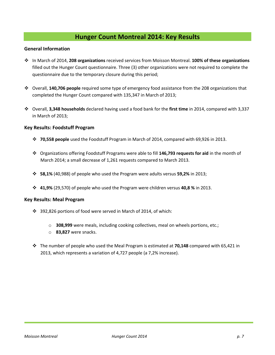# **Hunger Count Montreal 2014: Key Results**

#### **General Information**

- In March of 2014, **208 organizations** received services from Moisson Montreal. **100% of these organizations** filled out the Hunger Count questionnaire. Three (3) other organizations were not required to complete the questionnaire due to the temporary closure during this period;
- Overall, **140,706 people** required some type of emergency food assistance from the 208 organizations that completed the Hunger Count compared with 135,347 in March of 2013;
- Overall, **3,348 households** declared having used a food bank for the **first time** in 2014, compared with 3,337 in March of 2013;

#### **Key Results: Foodstuff Program**

- **70,558 people** used the Foodstuff Program in March of 2014, compared with 69,926 in 2013.
- Organizations offering Foodstuff Programs were able to fill **146,793 requests for aid** in the month of March 2014; a small decrease of 1,261 requests compared to March 2013.
- **58,1%** (40,988) of people who used the Program were adults versus **59,2%** in 2013;
- **41,9%** (29,570) of people who used the Program were children versus **40,8 %** in 2013.

#### **Key Results: Meal Program**

- 392,826 portions of food were served in March of 2014, of which:
	- o **308,999** were meals, including cooking collectives, meal on wheels portions, etc.;
	- o **83,827** were snacks.
- The number of people who used the Meal Program is estimated at **70,148** compared with 65,421 in 2013, which represents a variation of 4,727 people (a 7,2% increase).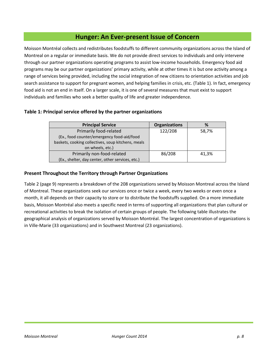# **Hunger: An Ever-present Issue of Concern**

Moisson Montréal collects and redistributes foodstuffs to different community organizations across the Island of Montreal on a regular or immediate basis. We do not provide direct services to individuals and only intervene through our partner organizations operating programs to assist low-income households. Emergency food aid programs may be our partner organizations' primary activity, while at other times it is but one activity among a range of services being provided, including the social integration of new citizens to orientation activities and job search assistance to support for pregnant women, and helping families in crisis, etc. (Table 1). In fact, emergency food aid is not an end in itself. On a larger scale, it is one of several measures that must exist to support individuals and families who seek a better quality of life and greater independence.

#### **Table 1: Principal service offered by the partner organizations**

| <b>Principal Service</b>                           | <b>Organizations</b> | %     |
|----------------------------------------------------|----------------------|-------|
| Primarily food-related                             | 122/208              | 58,7% |
| (Ex., food counter/emergency food-aid/food         |                      |       |
| baskets, cooking collectives, soup kitchens, meals |                      |       |
| on wheels, etc.)                                   |                      |       |
| Primarily non-food-related                         | 86/208               | 41.3% |
| (Ex., shelter, day center, other services, etc.)   |                      |       |

#### **Present Throughout the Territory through Partner Organizations**

Table 2 (page 9) represents a breakdown of the 208 organizations served by Moisson Montreal across the Island of Montreal. These organizations seek our services once or twice a week, every two weeks or even once a month, it all depends on their capacity to store or to distribute the foodstuffs supplied. On a more immediate basis, Moisson Montréal also meets a specific need in terms of supporting all organizations that plan cultural or recreational activities to break the isolation of certain groups of people. The following table illustrates the geographical analysis of organizations served by Moisson Montréal. The largest concentration of organizations is in Ville-Marie (33 organizations) and in Southwest Montreal (23 organizations).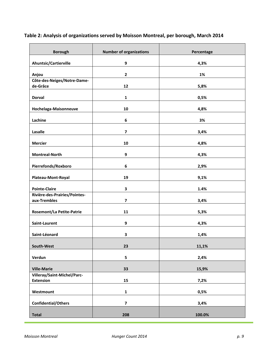| <b>Borough</b>                   | <b>Number of organizations</b> | Percentage |
|----------------------------------|--------------------------------|------------|
| Ahuntsic/Cartierville            | 9                              | 4,3%       |
|                                  |                                |            |
| Anjou                            | $\mathbf{2}$                   | 1%         |
| Côte-des-Neiges/Notre-Dame-      |                                |            |
| de-Grâce                         | 12                             | 5,8%       |
| <b>Dorval</b>                    | $\mathbf{1}$                   | 0,5%       |
| Hochelaga-Maisonneuve            | 10                             | 4,8%       |
| Lachine                          | 6                              | 3%         |
| Lasalle                          | $\overline{\mathbf{z}}$        | 3,4%       |
| <b>Mercier</b>                   | 10                             | 4,8%       |
| <b>Montreal-North</b>            | 9                              | 4,3%       |
| Pierrefonds/Roxboro              | 6                              | 2,9%       |
| Plateau-Mont-Royal               | 19                             | 9,1%       |
| <b>Pointe-Claire</b>             | 3                              | 1.4%       |
| Rivière-des-Prairies/Pointes-    |                                |            |
| aux-Trembles                     | $\overline{\mathbf{z}}$        | 3,4%       |
| <b>Rosemont/La Petite-Patrie</b> | 11                             | 5,3%       |
| Saint-Laurent                    | 9                              | 4,3%       |
| Saint-Léonard                    | 3                              | 1,4%       |
| South-West                       | 23                             | 11,1%      |
| Verdun                           | 5                              | 2,4%       |
| <b>Ville-Marie</b>               | 33                             | 15,9%      |
| Villeray/Saint-Michel/Parc-      |                                |            |
| <b>Extension</b>                 | 15                             | 7,2%       |
| Westmount                        | $\mathbf{1}$                   | 0,5%       |
| <b>Confidential/Others</b>       | $\overline{\mathbf{z}}$        | 3,4%       |
| <b>Total</b>                     | 208                            | 100.0%     |

# **Table 2: Analysis of organizations served by Moisson Montreal, per borough, March 2014**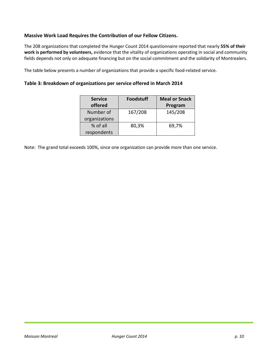#### **Massive Work Load Requires the Contribution of our Fellow Citizens.**

The 208 organizations that completed the Hunger Count 2014 questionnaire reported that nearly **55% of their work is performed by volunteers,** evidence that the vitality of organizations operating in social and community fields depends not only on adequate financing but on the social commitment and the solidarity of Montrealers.

The table below presents a number of organizations that provide a specific food-related service.

#### **Table 3: Breakdown of organizations per service offered in March 2014**

| <b>Service</b> | <b>Foodstuff</b> | <b>Meal or Snack</b> |
|----------------|------------------|----------------------|
| offered        |                  | Program              |
| Number of      | 167/208          | 145/208              |
| organizations  |                  |                      |
| % of all       | 80,3%            | 69,7%                |
| respondents    |                  |                      |

Note: The grand total exceeds 100%, since one organization can provide more than one service.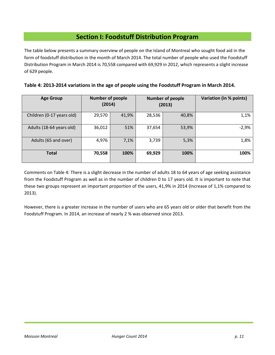# **Section I: Foodstuff Distribution Program**

The table below presents a summary overview of people on the Island of Montreal who sought food aid in the form of foodstuff distribution in the month of March 2014. The total number of people who used the Foodstuff Distribution Program in March 2014 is 70,558 compared with 69,929 in 2012, which represents a slight increase of 629 people.

| Table 4: 2013-2014 variations in the age of people using the Foodstuff Program in March 2014. |  |  |
|-----------------------------------------------------------------------------------------------|--|--|
|-----------------------------------------------------------------------------------------------|--|--|

| <b>Age Group</b>          | <b>Number of people</b><br>(2014) |       |        | <b>Number of people</b><br>(2013) | Variation (in % points) |
|---------------------------|-----------------------------------|-------|--------|-----------------------------------|-------------------------|
| Children (0-17 years old) | 29,570                            | 41,9% | 28,536 | 40,8%                             | 1,1%                    |
| Adults (18-64 years old)  | 36,012                            | 51%   | 37,654 | 53,9%                             | $-2,9%$                 |
| Adults (65 and over)      | 4,976                             | 7,1%  | 3,739  | 5,3%                              | 1,8%                    |
| <b>Total</b>              | 70,558                            | 100%  | 69,929 | 100%                              | 100%                    |

Comments on Table 4: There is a slight decrease in the number of adults 18 to 64 years of age seeking assistance from the Foodstuff Program as well as in the number of children 0 to 17 years old. It is important to note that these two groups represent an important proportion of the users, 41,9% in 2014 (Increase of 1,1% compared to 2013).

However, there is a greater increase in the number of users who are 65 years old or older that benefit from the Foodstuff Program. In 2014, an increase of nearly 2 % was observed since 2013.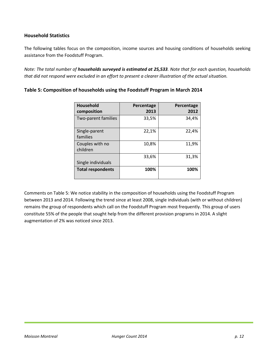#### **Household Statistics**

The following tables focus on the composition, income sources and housing conditions of households seeking assistance from the Foodstuff Program.

*Note: The total number of households surveyed is estimated at 25,533. Note that for each question, households that did not respond were excluded in an effort to present a clearer illustration of the actual situation.* 

| <b>Household</b><br>composition | Percentage<br>2013 | Percentage<br>2012 |
|---------------------------------|--------------------|--------------------|
| Two-parent families             | 33,5%              | 34,4%              |
| Single-parent<br>families       | 22,1%              | 22,4%              |
| Couples with no<br>children     | 10,8%              | 11,9%              |
| Single individuals              | 33,6%              | 31,3%              |
| <b>Total respondents</b>        | 100%               | 100%               |

#### **Table 5: Composition of households using the Foodstuff Program in March 2014**

Comments on Table 5: We notice stability in the composition of households using the Foodstuff Program between 2013 and 2014. Following the trend since at least 2008, single individuals (with or without children) remains the group of respondents which call on the Foodstuff Program most frequently. This group of users constitute 55% of the people that sought help from the different provision programs in 2014. A slight augmentation of 2% was noticed since 2013.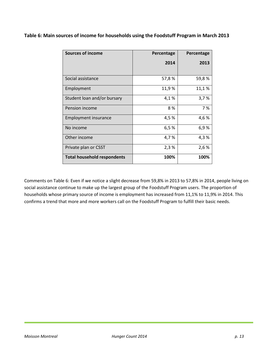|  |  | Table 6: Main sources of income for households using the Foodstuff Program in March 2013 |
|--|--|------------------------------------------------------------------------------------------|
|--|--|------------------------------------------------------------------------------------------|

| <b>Sources of income</b>           | Percentage | Percentage |
|------------------------------------|------------|------------|
|                                    | 2014       | 2013       |
|                                    |            |            |
| Social assistance                  | 57,8%      | 59,8%      |
| Employment                         | 11,9%      | 11,1%      |
| Student loan and/or bursary        | 4,1%       | 3,7%       |
| Pension income                     | 8 %        | 7%         |
| Employment insurance               | 4,5%       | 4,6%       |
| No income                          | 6,5%       | 6,9%       |
| Other income                       | 4,7%       | 4,3%       |
| Private plan or CSST               | 2,3%       | 2,6%       |
| <b>Total household respondents</b> | 100%       | 100%       |

Comments on Table 6: Even if we notice a slight decrease from 59,8% in 2013 to 57,8% in 2014, people living on social assistance continue to make up the largest group of the Foodstuff Program users. The proportion of households whose primary source of income is employment has increased from 11,1% to 11,9% in 2014. This confirms a trend that more and more workers call on the Foodstuff Program to fulfill their basic needs.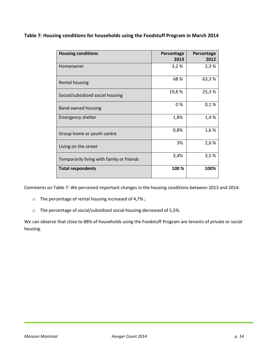|  | Table 7: Housing conditions for households using the Foodstuff Program in March 2014 |  |
|--|--------------------------------------------------------------------------------------|--|
|--|--------------------------------------------------------------------------------------|--|

| <b>Housing conditions</b>                 | Percentage<br>2013 | Percentage<br>2012 |
|-------------------------------------------|--------------------|--------------------|
| Homeowner                                 | 3,2%               | 2,3%               |
| <b>Rental housing</b>                     | 68%                | 63,3%              |
| Social/subsidized social housing          | 19,8%              | 25,3%              |
| <b>Band-owned housing</b>                 | 0%                 | 0,1%               |
| <b>Emergency shelter</b>                  | 1,8%               | 1,4%               |
| Group home or youth centre                | 0,8%               | 1,6%               |
| Living on the street                      | 3%                 | 2,6 %              |
| Temporarily living with family or friends | 3,4%               | 3,5%               |
| <b>Total respondents</b>                  | 100 %              | 100%               |

Comments on Table 7: We perceived important changes in the housing conditions between 2013 and 2014:

- o The percentage of rental housing increased of 4,7% ;
- o The percentage of social/subsidized social housing decreased of 5,5%.

We can observe that close to 88% of households using the Foodstuff Program are tenants of private or social housing.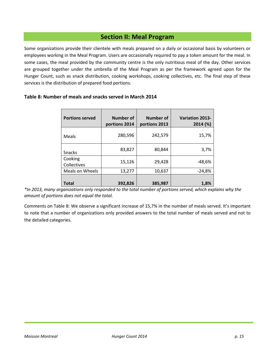# **Section II: Meal Program**

Some organizations provide their clientele with meals prepared on a daily or occasional basis by volunteers or employees working in the Meal Program. Users are occasionally required to pay a token amount for the meal. In some cases, the meal provided by the community centre is the only nutritious meal of the day. Other services are grouped together under the umbrella of the Meal Program as per the framework agreed upon for the Hunger Count, such as snack distribution, cooking workshops, cooking collectives, etc. The final step of these services is the distribution of prepared food portions.

| <b>Portions served</b> | <b>Number of</b><br>portions 2014 | Number of<br>portions 2013 | <b>Variation 2013-</b><br>2014 (%) |
|------------------------|-----------------------------------|----------------------------|------------------------------------|
| Meals                  | 280,596                           | 242,579                    | 15,7%                              |
| <b>Snacks</b>          | 83,827                            | 80,844                     | 3,7%                               |
| Cooking<br>Collectives | 15,126                            | 29,428                     | $-48,6%$                           |
| Meals on Wheels        | 13,277                            | 10,637                     | $-24,8%$                           |
| Total                  | 392,826                           | 385,987                    | 1,8%                               |

#### **Table 8: Number of meals and snacks served in March 2014**

*\*In 2013, many organizations only responded to the total number of portions served, which explains why the amount of portions does not equal the total.*

Comments on Table 8: We observe a significant increase of 15,7% in the number of meals served. It's important to note that a number of organizations only provided answers to the total number of meals served and not to the detailed categories.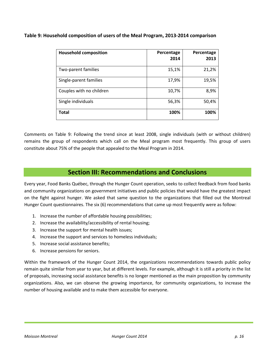**Table 9: Household composition of users of the Meal Program, 2013-2014 comparison**

| <b>Household composition</b> | Percentage<br>2014 | Percentage<br>2013 |
|------------------------------|--------------------|--------------------|
| Two-parent families          | 15,1%              | 21,2%              |
| Single-parent families       | 17,9%              | 19,5%              |
| Couples with no children     | 10,7%              | 8,9%               |
| Single individuals           | 56,3%              | 50,4%              |
| <b>Total</b>                 | 100%               | 100%               |

Comments on Table 9: Following the trend since at least 2008, single individuals (with or without children) remains the group of respondents which call on the Meal program most frequently. This group of users constitute about 75% of the people that appealed to the Meal Program in 2014.

# **Section III: Recommendations and Conclusions**

Every year, Food Banks Québec, through the Hunger Count operation, seeks to collect feedback from food banks and community organizations on government initiatives and public policies that would have the greatest impact on the fight against hunger. We asked that same question to the organizations that filled out the Montreal Hunger Count questionnaires. The six (6) recommendations that came up most frequently were as follow:

- 1. Increase the number of affordable housing possibilities;
- 2. Increase the availability/accessibility of rental housing;
- 3. Increase the support for mental health issues;
- 4. Increase the support and services to homeless individuals;
- 5. Increase social assistance benefits;
- 6. Increase pensions for seniors.

Within the framework of the Hunger Count 2014, the organizations recommendations towards public policy remain quite similar from year to year, but at different levels. For example, although it is still a priority in the list of proposals, increasing social assistance benefits is no longer mentioned as the main proposition by community organizations. Also, we can observe the growing importance, for community organizations, to increase the number of housing available and to make them accessible for everyone.